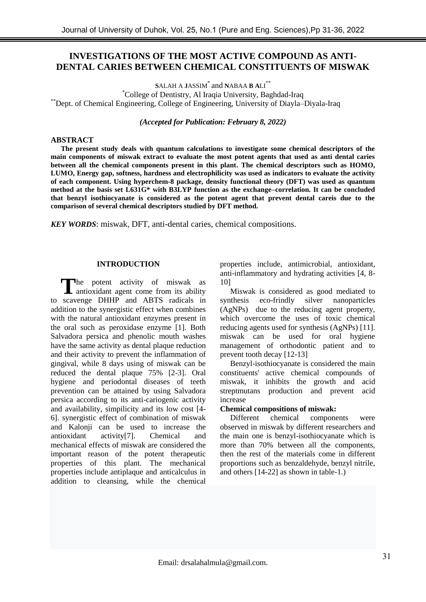# **INVESTIGATIONS OF THE MOST ACTIVE COMPOUND AS ANTI-DENTAL CARIES BETWEEN CHEMICAL CONSTITUENTS OF MISWAK**

**S**ALAH A **J**ASSIM\* and **N**ABAA **B A**LI\*\* \*College of Dentistry, Al Iraqia University, Baghdad-Iraq \*\*Dept. of Chemical Engineering, College of Engineering, University of Diayla–Diyala-Iraq

*(Accepted for Publication: February 8, 2022)*

# **ABSTRACT**

**The present study deals with quantum calculations to investigate some chemical descriptors of the main components of miswak extract to evaluate the most potent agents that used as anti dental caries between all the chemical components present in this plant. The chemical descriptors such as HOMO, LUMO, Energy gap, softness, hardness and electrophilicity was used as indicators to evaluate the activity of each component. Using hyperchem-8 package, density functional theory (DFT) was used as quantum method at the basis set L631G\* with B3LYP function as the exchange–correlation. It can be concluded that benzyl isothiocyanate is considered as the potent agent that prevent dental careis due to the comparison of several chemical descriptors studied by DFT method.**

*KEY WORDS*: miswak, DFT, anti-dental caries, chemical compositions.

# **INTRODUCTION**

The potent activity of miswak as The potent activity of miswak as<br>antioxidant agent come from its ability to scavenge DHHP and ABTS radicals in addition to the synergistic effect when combines with the natural antioxidant enzymes present in the oral such as peroxidase enzyme [1]. Both Salvadora persica and phenolic mouth washes have the same activity as dental plaque reduction and their activity to prevent the inflammation of gingival, while 8 days using of miswak can be reduced the dental plaque 75% [2-3]. Oral hygiene and periodontal diseases of teeth prevention can be attained by using Salvadora persica according to its anti-cariogenic activity and availability, simpilicity and its low cost [4- 6]. synergistic effect of combination of miswak and Kalonji can be used to increase the antioxidant activity<sup>[7]</sup>. Chemical and antioxidant activity[7]. Chemical and mechanical effects of miswak are considered the important reason of the potent therapeutic properties of this plant. The mechanical properties include antiplaque and anticalculus in addition to cleansing, while the chemical

properties include, antimicrobial, antioxidant, anti-inflammatory and hydrating activities [4, 8- 10]

Miswak is considered as good mediated to synthesis eco-frindly silver nanoparticles (AgNPs) due to the reducing agent property, which overcome the uses of toxic chemical reducing agents used for synthesis (AgNPs) [11]. miswak can be used for oral hygiene management of orthodontic patient and to prevent tooth decay [12-13]

Benzyl-isothiocyanate is considered the main constituents' active chemical compounds of miswak, it inhibits the growth and acid streptmutans production and prevent acid increase

# **Chemical compositions of miswak:**

Different chemical components were observed in miswak by different researchers and the main one is benzyl-isothiocyanate which is more than 70% between all the components, then the rest of the materials come in different proportions such as benzaldehyde, benzyl nitrile, and others [14-22] as shown in table-1.)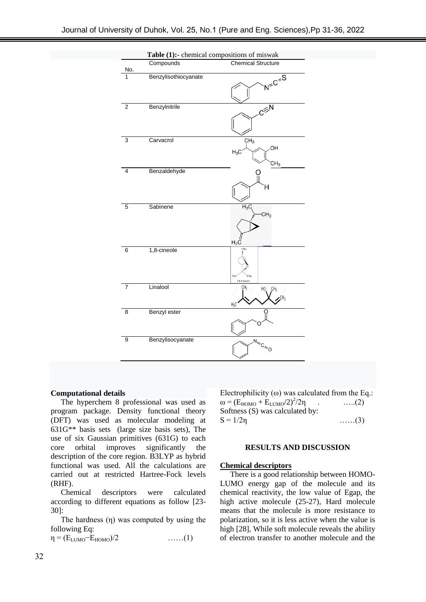

## **Computational details**

The hyperchem 8 professional was used as program package. Density functional theory (DFT) was used as molecular modeling at 631G\*\* basis sets (large size basis sets), The use of six Gaussian primitives (631G) to each core orbital improves significantly the description of the core region. B3LYP as hybrid functional was used. All the calculations are carried out at restricted Hartree-Fock levels (RHF).

Chemical descriptors were calculated according to different equations as follow [23- 30]:

The hardness  $(\eta)$  was computed by using the following Eq:

 $\eta = (E_{LUMO} - E_{HOMO})/2$  ……(1)

Electrophilicity ( $\omega$ ) was calculated from the Eq.:  $\omega = (E_{HOMO} + E_{LUMO}/2)^2/2\eta$  $\dots (2)$ Softness (S) was calculated by:  $S = 1/2\eta$  ……(3)

## **RESULTS AND DISCUSSION**

#### **Chemical descriptors**

There is a good relationship between HOMO-LUMO energy gap of the molecule and its chemical reactivity, the low value of Egap, the high active molecule (25-27), Hard molecule means that the molecule is more resistance to polarization, so it is less active when the value is high [28], While soft molecule reveals the ability of electron transfer to another molecule and the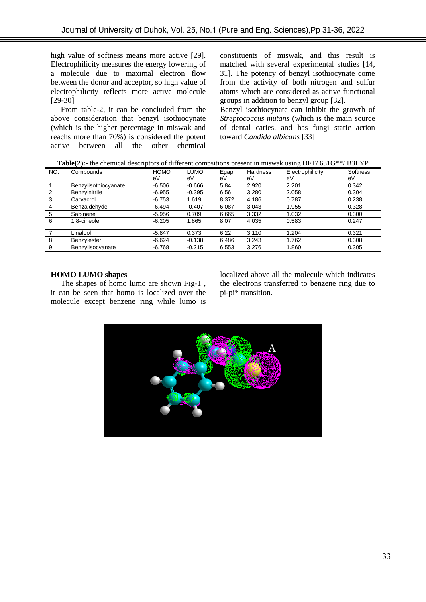high value of softness means more active [29]. Electrophilicity measures the energy lowering of a molecule due to maximal electron flow between the donor and acceptor, so high value of electrophilicity reflects more active molecule [29-30]

From table-2, it can be concluded from the above consideration that benzyl isothiocynate (which is the higher percentage in miswak and reachs more than 70%) is considered the potent active between all the other chemical

constituents of miswak, and this result is matched with several experimental studies [14, 31]. The potency of benzyl isothiocynate come from the activity of both nitrogen and sulfur atoms which are considered as active functional groups in addition to benzyl group [32].

Benzyl isothiocynate can inhibit the growth of *Streptococcus mutans* (which is the main source of dental caries, and has fungi static action toward *Candida albicans* [33]

| <b>Table(2):-</b> the chemical descriptors of different compsitions present in miswak using DFT/631G**/B3LYP |  |  |
|--------------------------------------------------------------------------------------------------------------|--|--|
|                                                                                                              |  |  |

| NO. | Compounds            | <b>HOMO</b> | LUMO     | Egap  | <b>Hardness</b> | Electrophilicity | Softness |
|-----|----------------------|-------------|----------|-------|-----------------|------------------|----------|
|     |                      | eV          | eV       | eV    | eV              | eV               | eV       |
|     | Benzylisothiocyanate | $-6.506$    | $-0.666$ | 5.84  | 2.920           | 2.201            | 0.342    |
|     | Benzylnitrile        | $-6.955$    | $-0.395$ | 6.56  | 3.280           | 2.058            | 0.304    |
| 3   | Carvacrol            | $-6.753$    | 1.619    | 8.372 | 4.186           | 0.787            | 0.238    |
| 4   | Benzaldehyde         | $-6.494$    | $-0.407$ | 6.087 | 3.043           | 1.955            | 0.328    |
| 5   | Sabinene             | $-5.956$    | 0.709    | 6.665 | 3.332           | 1.032            | 0.300    |
| 6   | 1.8-cineole          | $-6.205$    | 1.865    | 8.07  | 4.035           | 0.583            | 0.247    |
|     |                      |             |          |       |                 |                  |          |
|     | Linalool             | $-5.847$    | 0.373    | 6.22  | 3.110           | 1.204            | 0.321    |
| 8   | Benzylester          | $-6.624$    | $-0.138$ | 6.486 | 3.243           | 1.762            | 0.308    |
| 9   | Benzylisocyanate     | $-6.768$    | $-0.215$ | 6.553 | 3.276           | 1.860            | 0.305    |
|     |                      |             |          |       |                 |                  |          |

## **HOMO LUMO shapes**

The shapes of homo lumo are shown Fig-1 , it can be seen that homo is localized over the molecule except benzene ring while lumo is

localized above all the molecule which indicates the electrons transferred to benzene ring due to pi-pi\* transition.

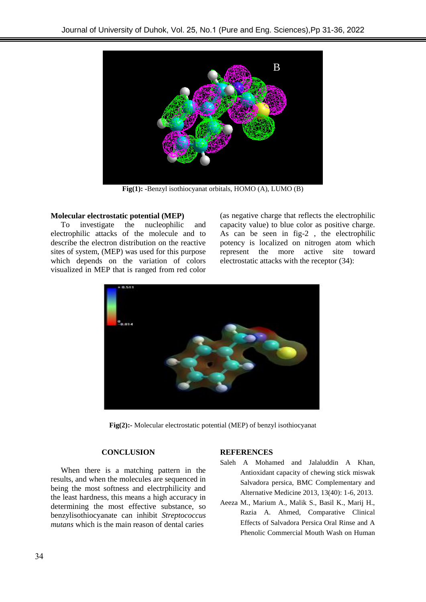

**Fig(1): -**Benzyl isothiocyanat orbitals, HOMO (A), LUMO (B)

## **Molecular electrostatic potential (MEP)**

To investigate the nucleophilic and electrophilic attacks of the molecule and to describe the electron distribution on the reactive sites of system, (MEP) was used for this purpose which depends on the variation of colors visualized in MEP that is ranged from red color

(as negative charge that reflects the electrophilic capacity value) to blue color as positive charge. As can be seen in fig-2 , the electrophilic potency is localized on nitrogen atom which represent the more active site toward electrostatic attacks with the receptor (34):



**Fig(2):-** Molecular electrostatic potential (MEP) of benzyl isothiocyanat

# **CONCLUSION**

When there is a matching pattern in the results, and when the molecules are sequenced in being the most softness and electrphilicity and the least hardness, this means a high accuracy in determining the most effective substance, so benzylisothiocyanate can inhibit *Streptococcus mutans* which is the main reason of dental caries

## **REFERENCES**

- Saleh A Mohamed and Jalaluddin A Khan, Antioxidant capacity of chewing stick miswak Salvadora persica, BMC Complementary and Alternative Medicine 2013, 13(40): 1-6, 2013.
- Aeeza M., Marium A., Malik S., Basil K., Marij H., Razia A. Ahmed, Comparative Clinical Effects of Salvadora Persica Oral Rinse and A Phenolic Commercial Mouth Wash on Human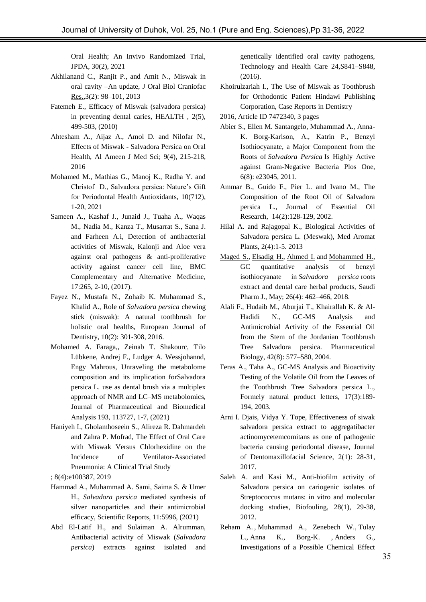Oral Health; An Invivo Randomized Trial, JPDA, 30(2), 2021

- [Akhilanand C.,](https://www.ncbi.nlm.nih.gov/pubmed/?term=Chaurasia%20A%5BAuthor%5D&cauthor=true&cauthor_uid=25737893) [Ranjit P.,](https://www.ncbi.nlm.nih.gov/pubmed/?term=Patil%20R%5BAuthor%5D&cauthor=true&cauthor_uid=25737893) and [Amit N.,](https://www.ncbi.nlm.nih.gov/pubmed/?term=Nagar%20A%5BAuthor%5D&cauthor=true&cauthor_uid=25737893) Miswak in oral cavity –An update, [J Oral Biol Craniofac](https://www.ncbi.nlm.nih.gov/pmc/articles/PMC4306988/)  [Res.,](https://www.ncbi.nlm.nih.gov/pmc/articles/PMC4306988/)3(2): 98–101, 2013
- Fatemeh E., Efficacy of Miswak (salvadora persica) in preventing dental caries, HEALTH , 2(5), 499-503, (2010)
- Ahtesham A., Aijaz A., Amol D. and Nilofar N., Effects of Miswak - Salvadora Persica on Oral Health, Al Ameen J Med Sci; 9(4), 215-218, 2016
- Mohamed M., Mathias G., Manoj K., Radha Y. and Christof D., Salvadora persica: Nature's Gift for Periodontal Health Antioxidants, 10(712), 1-20, 2021
- Sameen A., Kashaf J., Junaid J., Tuaha A., Waqas M., Nadia M., Kanza T., Musarrat S., Sana J. and Farheen A.i, Detection of antibacterial activities of Miswak, Kalonji and Aloe vera against oral pathogens & anti-proliferative activity against cancer cell line, BMC Complementary and Alternative Medicine, 17:265, 2-10, (2017).
- Fayez N., Mustafa N., Zohaib K. Muhammad S., Khalid A., Role of *Salvadora persica* chewing stick (miswak): A natural toothbrush for holistic oral healths, European Journal of Dentistry, 10(2): 301-308, 2016.
- Mohamed A. Faraga,, Zeinab T. Shakourc, Tilo Lübkene, Andrej F., Ludger A. Wessjohannd, Engy Mahrous, Unraveling the metabolome composition and its implication forSalvadora persica L. use as dental brush via a multiplex approach of NMR and LC–MS metabolomics, Journal of Pharmaceutical and Biomedical Analysis 193, 113727, 1-7, (2021)
- Haniyeh I., Gholamhoseein S., Alireza R. Dahmardeh and Zahra P. Mofrad, The Effect of Oral Care with Miswak Versus Chlorhexidine on the Incidence of Ventilator-Associated Pneumonia: A Clinical Trial Study
- ; 8(4):e100387, 2019
- Hammad A., Muhammad A. Sami, Saima S. & Umer H., *Salvadora persica* mediated synthesis of silver nanoparticles and their antimicrobial efficacy, Scientific Reports, 11:5996, (2021)
- Abd El-Latif H.*,* and Sulaiman A. Alrumman, Antibacterial activity of Miswak (*Salvadora persica*) extracts against isolated and

genetically identified oral cavity pathogens, Technology and Health Care 24,S841–S848, (2016).

- Khoirulzariah I., The Use of Miswak as Toothbrush for Orthodontic Patient Hindawi Publishing Corporation, Case Reports in Dentistry
- 2016, Article ID 7472340, 3 pages
- Abier S., Ellen M. Santangelo, Muhammad A., Anna-K. Borg-Karlson, A., Katrin P., Benzyl Isothiocyanate, a Major Component from the Roots of *Salvadora Persica* Is Highly Active against Gram-Negative Bacteria Plos One, 6(8): e23045, 2011.
- Ammar B., Guido F., Pier L. and Ivano M., The Composition of the Root Oil of Salvadora persica L., [Journal of Essential Oil](https://www.researchgate.net/journal/Journal-of-Essential-Oil-Research-1041-2905)  [Research,](https://www.researchgate.net/journal/Journal-of-Essential-Oil-Research-1041-2905) 14(2):128-129, 2002.
- Hilal A. and Rajagopal K., Biological Activities of Salvadora persica L. (Meswak), Med Aromat Plants, 2(4):1-5. 2013
- [Maged S.,](https://www.ncbi.nlm.nih.gov/pubmed/?term=Abdel-Kader%20MS%5BAuthor%5D&cauthor=true&cauthor_uid=29844716) [Elsadig H.,](https://www.ncbi.nlm.nih.gov/pubmed/?term=Khamis%20EH%5BAuthor%5D&cauthor=true&cauthor_uid=29844716) [Ahmed I.](https://www.ncbi.nlm.nih.gov/pubmed/?term=Foudah%20AI%5BAuthor%5D&cauthor=true&cauthor_uid=29844716) and [Mohammed H.,](https://www.ncbi.nlm.nih.gov/pubmed/?term=Alqarni%20MH%5BAuthor%5D&cauthor=true&cauthor_uid=29844716) GC quantitative analysis of benzyl isothiocyanate in *Salvadora persica* roots extract and dental care herbal products, [Saudi](https://www.ncbi.nlm.nih.gov/pmc/articles/PMC5961752/)  [Pharm J.,](https://www.ncbi.nlm.nih.gov/pmc/articles/PMC5961752/) May; 26(4): 462–466, 2018.
- Alali F., Hudaib M., Aburjai T., Khairallah K. & Al-Hadidi N., GC-MS Analysis and Antimicrobial Activity of the Essential Oil from the Stem of the Jordanian Toothbrush Tree Salvadora persica. Pharmaceutical Biology, 42(8): 577–580, 2004.
- [Feras](https://www.tandfonline.com/author/Alali%2C+Feras) A., [Taha A.,](https://www.tandfonline.com/author/Al-Lafi%2C+Taha) GC-MS Analysis and Bioactivity Testing of the Volatile Oil from the Leaves of the Toothbrush Tree Salvadora persica L., Formely natural product letters, 17(3):189- 194, 2003.
- Arni I. Djais, Vidya Y. Tope, Effectiveness of siwak salvadora persica extract to aggregatibacter actinomycetemcomitans as one of pathogenic bacteria causing periodontal disease, Journal of Dentomaxillofacial Science, 2(1): 28-31, 2017.
- Saleh A. and Kasi M., Anti-biofilm activity of Salvadora persica on cariogenic isolates of Streptococcus mutans: in vitro and molecular docking studies, Biofouling, 28(1), 29-38, 2012.
- [Reham A.](https://pubmed.ncbi.nlm.nih.gov/?term=Albabtain+R&cauthor_id=28484501), [Muhammad A.,](https://pubmed.ncbi.nlm.nih.gov/?term=Azeem+M&cauthor_id=28484501) [Zenebech W.,](https://pubmed.ncbi.nlm.nih.gov/?term=Wondimu+Z&cauthor_id=28484501) Tulay [L.,](https://pubmed.ncbi.nlm.nih.gov/?term=Lindberg+T&cauthor_id=28484501) [Anna K., Borg-K.](https://pubmed.ncbi.nlm.nih.gov/?term=Borg-Karlson+AK&cauthor_id=28484501) , [Anders G.,](https://pubmed.ncbi.nlm.nih.gov/?term=Gustafsson+A&cauthor_id=28484501) Investigations of a Possible Chemical Effect